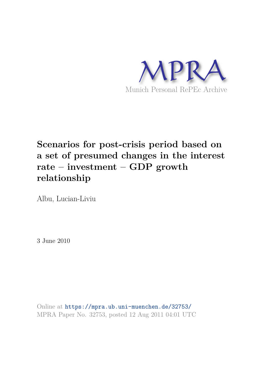

# **Scenarios for post-crisis period based on a set of presumed changes in the interest rate – investment – GDP growth relationship**

Albu, Lucian-Liviu

3 June 2010

Online at https://mpra.ub.uni-muenchen.de/32753/ MPRA Paper No. 32753, posted 12 Aug 2011 04:01 UTC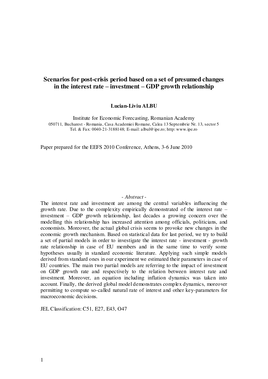# **Scenarios for post-crisis period based on a set of presumed changes in the interest rate – investment – GDP growth relationship**

#### **Lucian-Liviu ALBU**

Institute for Economic Forecasting, Romanian Academy 050711, Bucharest - Romania, Casa Academiei Romane, Calea 13 Septembrie Nr. 13, sector 5 Tel. & Fax: 0040-21-3188148; E-mail: albul@ipe.ro; http: www.ipe.ro

Paper prepared for the EEFS 2010 Conference, Athens, 3-6 June 2010

#### - *Abstract* -

The interest rate and investment are among the central variables influencing the growth rate. Due to the complexity empirically demonstrated of the interest rate – investment – GDP growth relationship, last decades a growing concern over the modelling this relationship has increased attention among officials, politicians, and economists. Moreover, the actual global crisis seems to provoke new changes in the economic growth mechanism. Based on statistical data for last period, we try to build a set of partial models in order to investigate the interest rate - investment - growth rate relationship in case of EU members and in the same time to verify some hypotheses usually in standard economic literature. Applying such simple models derived from standard ones in our experiment we estimated their parameters in case of EU countries. The main two partial models are referring to the impact of investment on GDP growth rate and respectively to the relation between interest rate and investment. Moreover, an equation including inflation dynamics was taken into account. Finally, the derived global model demonstrates complex dynamics, moreover permitting to compute so-called natural rate of interest and other key-parameters for macroeconomic decisions.

JEL Classification: C51, E27, E43, O47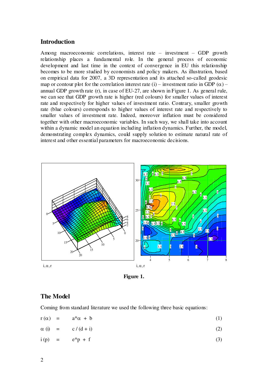#### **Introduction**

Among macroeconomic correlations, interest rate – investment – GDP growth relationship places a fundamental role. In the general process of economic development and last time in the context of convergence in EU this relationship becomes to be more studied by economists and policy makers. As illustration, based on empirical data for 2007, a 3D representation and its attached so-called geodesic map or contour plot for the correlation interest rate (i) – investment ratio in GDP  $(\alpha)$  – annual GDP growth rate (r), in case of EU-27, are shown in Figure 1. As general rule, we can see that GDP growth rate is higher (red colours) for smaller values of interest rate and respectively for higher values of investment ratio. Contrary, smaller growth rate (blue colours) corresponds to higher values of interest rate and respectively to smaller values of investment rate. Indeed, moreover inflation must be considered together with other macroeconomic variables. In such way, we shall take into account within a dynamic model an equation including inflation dynamics. Further, the model, demonstrating complex dynamics, could supply solution to estimate natural rate of interest and other essential parameters for macroeconomic decisions.



**Figure 1.** 

# **The Model**

Coming from standard literature we used the following three basic equations:

$$
r(\alpha) = a^*\alpha + b \tag{1}
$$

$$
\alpha(i) = c/(d+i) \tag{2}
$$

$$
i(p) = e^*p + f \tag{3}
$$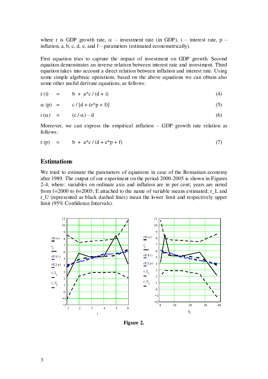where r is GDP growth rate,  $\alpha$  – investment rate (in GDP), i – interest rate, p – inflation,  $a, b, c, d, e$ , and  $f$  – parameters (estimated econometrically).

First equation tries to capture the impact of investment on GDP growth. Second equation demonstrates an inverse relation between interest rate and investment. Third equation takes into account a direct relation between inflation and interest rate. Using some simple algebraic operations, based on the above equations we can obtain also some other useful derivate equations, as follows:

$$
r(i) = b + a * c / (d + i)
$$
 (4)

$$
\alpha \text{ (p)} = c / [d + (e^*p + f)] \tag{5}
$$

$$
i(\alpha) = (c/\alpha) - d \tag{6}
$$

Moreover, we can express the empirical inflation  $-$  GDP growth rate relation as follows:

$$
r(p) = b + a * c / (d + e * p + f)
$$
 (7)

#### **Estimations**

We tried to estimate the parameters of equations in case of the Romanian economy after 1989. The output of our experiment on the period 2000-2005 is shown in Figures 2-4, where: variables on ordinate axis and inflation are in per cent; years are noted from  $1=2000$  to  $6=2005$ ; E attached to the name of variable means estimated; r\_L and r\_U (represented as black dashed lines) mean the lower limit and respectively upper limit (95% Confidence Intervals).



**Figure 2.**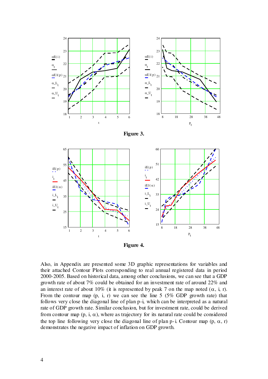







Also, in Appendix are presented some 3D graphic representations for variables and their attached Contour Plots corresponding to real annual registered data in period 2000-2005. Based on historical data, among other conclusions, we can see that a GDP growth rate of about 7% could be obtained for an investment rate of around 22% and an interest rate of about 10% (it is represented by peak 7 on the map noted  $(\alpha, i, r)$ ). From the contour map  $(p, i, r)$  we can see the line 5 (5% GDP growth rate) that follows very close the diagonal line of plan p-i, which can be interpreted as a natural rate of GDP growth rate. Similar conclusion, but for investment rate, could be derived from contour map  $(p, i, \alpha)$ , where as trajectory for its natural rate could be considered the top line following very close the diagonal line of plan p-i. Contour map  $(p, \alpha, r)$ demonstrates the negative impact of inflation on GDP growth.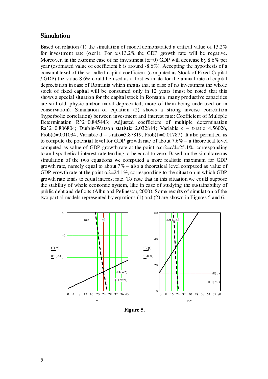#### **Simulation**

Based on relation (1) the simulation of model demonstrated a critical value of 13.2% for investment rate ( $\alpha$ cr1). For  $\alpha$ <13.2% the GDP growth rate will be negative. Moreover, in the extreme case of no investment  $(\alpha=0)$  GDP will decrease by 8.6% per year (estimated value of coefficient b is around -8.6%). Accepting the hypothesis of a constant level of the so-called capital coefficient (computed as Stock of Fixed Capital / GDP) the value 8.6% could be used as a first estimate for the annual rate of capital depreciation in case of Romania which means that in case of no investment the whole stock of fixed capital will be consumed only in 12 years (must be noted that this shows a special situation for the capital stock in Romania: many productive capacities are still old, physic and/or moral depreciated, more of them being underused or in conservation). Simulation of equation (2) shows a strong inverse correlation (hyperbolic correlation) between investment and interest rate: Coefficient of Multiple Determination R^2=0.845443; Adjusted coefficient of multiple determination Ra^2=0.806804; Durbin-Watson statistic=2.032844; Variable c – t-ratio=4.56026, Prob(t)=0.01034; Variable d – t-ratio=3.87819, Prob(t)=0.01787). It also permitted us to compute the potential level for GDP growth rate of about  $7.6\%$  – a theoretical level computed as value of GDP growth rate at the point  $\alpha$ cr2=c/d=25.1%, corresponding to an hypothetical interest rate tending to be equal to zero. Based on the simultaneous simulation of the two equations we computed a more realistic maximum for GDP growth rate, namely equal to about  $7\%$  – also a theoretical level computed as value of GDP growth rate at the point  $\alpha$ 2=24.1%, corresponding to the situation in which GDP growth rate tends to equal interest rate. To note that in this situation we could suppose the stability of whole economic system, like in case of studying the sustainability of public debt and deficits (Albu and Pelinescu, 2000). Some results of simulation of the two partial models represented by equations (1) and (2) are shown in Figures 5 and 6.



 **Figure 5.**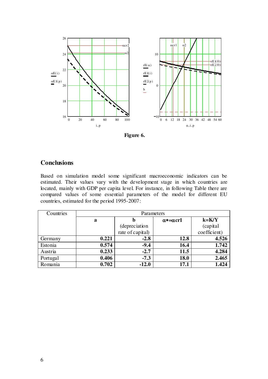

 **Figure 6.** 

# **Conclusions**

Based on simulation model some significant macroeconomic indicators can be estimated. Their values vary with the development stage in which countries are located, mainly with GDP per capita level. For instance, in following Table there are compared values of some essential parameters of the model for different EU countries, estimated for the period 1995-2007:

| Countries | Parameters |                  |                          |              |
|-----------|------------|------------------|--------------------------|--------------|
|           | a          | b                | $\alpha$ *= $\alpha$ cr1 | $k=$ K/Y     |
|           |            | (depreciation    |                          | (capital     |
|           |            | rate of capital) |                          | coefficient) |
| Germany   | 0.221      | $-2.8$           | 12.8                     | 4.526        |
| Estonia   | 0.574      | $-9.4$           | 16.4                     | 1.742        |
| Austria   | 0.233      | $-2.7$           | 11.5                     | 4.284        |
| Portugal  | 0.406      | $-7.3$           | 18.0                     | 2.465        |
| Romania   | 0.702      | $-12.0$          | 17.1                     | 1.424        |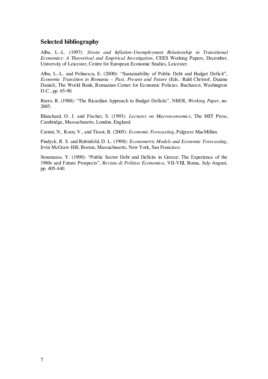# **Selected bibliography**

Albu, L.-L. (1997): *Strain and Inflation-Unemployment Relationship in Transitional Economies: A Theoretical and Empirical Investigation*, CEES Working Papers, December, University of Leicester, Centre for European Economic Studies, Leicester.

Albu, L.-L. and Pelinescu, E. (2000): "Sustainability of Public Debt and Budget Deficit", *Economic Transition in Romania – Past, Present and Future* (Eds.: Ruhl Christof, Daianu Daniel), The World Bank, Romanian Center for Economic Policies, Bucharest, Washington D.C., pp. 65-90.

Barro, R. (1988): "The Ricardian Approach to Budget Deficits", NBER, *Working Paper*, no. 2685.

Blanchard, O. J. and Fischer, S. (1993): *Lectures on Macroeconomics*, The MIT Press, Cambridge, Massachusetts, London, England.

Carnot, N., Koen, V., and Tissot, B. (2005): *Economic Forecasting*, Palgrave MacMillan.

Pindyck, R. S. and Rubinfeld, D. L. (1998): *Econometric Models and Economic Forecasting*, Irvin McGraw-Hill, Boston, Massachusetts, New York, San Francisco.

Stournaras, Y. (1990): "Public Sector Debt and Deficits in Greece: The Experience of the 1980s and Future Prospects", *Revista di Politica Economica*, VII-VIII, Roma, July-August, pp. 405-440.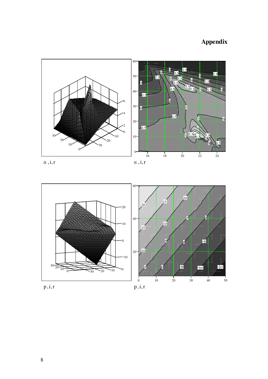# **Appendix**